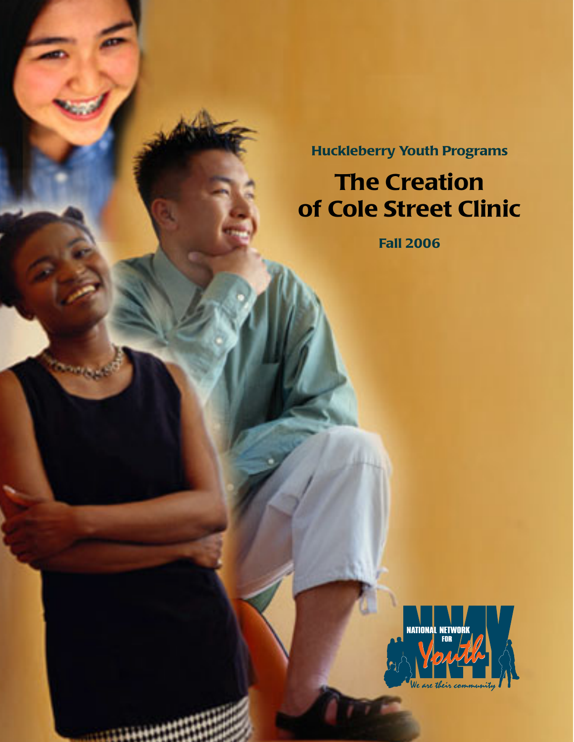**Huckleberry Youth Programs**

# **The Creation of Cole Street Clinic**

**Fall 2006**

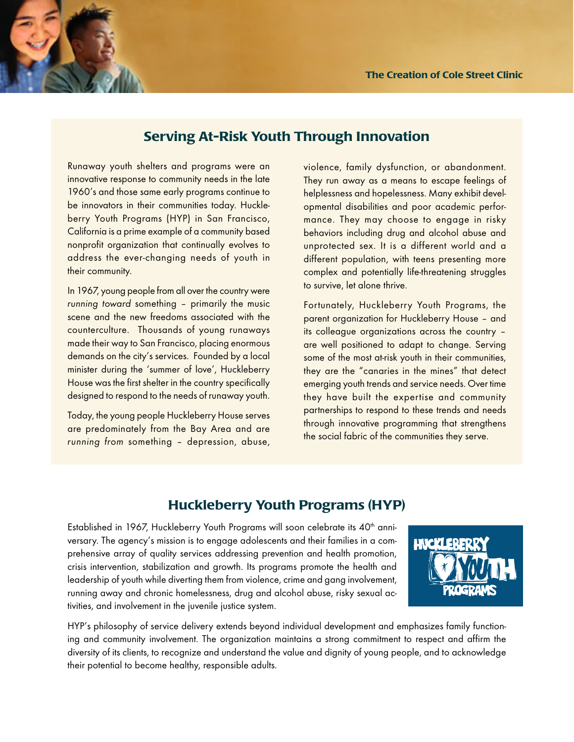

Runaway youth shelters and programs were an innovative response to community needs in the late 1960's and those same early programs continue to be innovators in their communities today. Huckleberry Youth Programs (HYP) in San Francisco, California is a prime example of a community based nonprofit organization that continually evolves to address the ever-changing needs of youth in their community.

In 1967, young people from all over the country were running toward something – primarily the music scene and the new freedoms associated with the counterculture. Thousands of young runaways made their way to San Francisco, placing enormous demands on the city's services. Founded by a local minister during the 'summer of love', Huckleberry House was the first shelter in the country specifically designed to respond to the needs of runaway youth.

Today, the young people Huckleberry House serves are predominately from the Bay Area and are running from something – depression, abuse, violence, family dysfunction, or abandonment. They run away as a means to escape feelings of helplessness and hopelessness. Many exhibit developmental disabilities and poor academic performance. They may choose to engage in risky behaviors including drug and alcohol abuse and unprotected sex. It is a different world and a different population, with teens presenting more complex and potentially life-threatening struggles to survive, let alone thrive.

Fortunately, Huckleberry Youth Programs, the parent organization for Huckleberry House – and its colleague organizations across the country – are well positioned to adapt to change. Serving some of the most at-risk youth in their communities, they are the "canaries in the mines" that detect emerging youth trends and service needs. Over time they have built the expertise and community partnerships to respond to these trends and needs through innovative programming that strengthens the social fabric of the communities they serve.

# **Huckleberry Youth Programs (HYP)**

Established in 1967, Huckleberry Youth Programs will soon celebrate its 40<sup>th</sup> anniversary. The agency's mission is to engage adolescents and their families in a comprehensive array of quality services addressing prevention and health promotion, crisis intervention, stabilization and growth. Its programs promote the health and leadership of youth while diverting them from violence, crime and gang involvement, running away and chronic homelessness, drug and alcohol abuse, risky sexual activities, and involvement in the juvenile justice system.



HYP's philosophy of service delivery extends beyond individual development and emphasizes family functioning and community involvement. The organization maintains a strong commitment to respect and affirm the diversity of its clients, to recognize and understand the value and dignity of young people, and to acknowledge their potential to become healthy, responsible adults.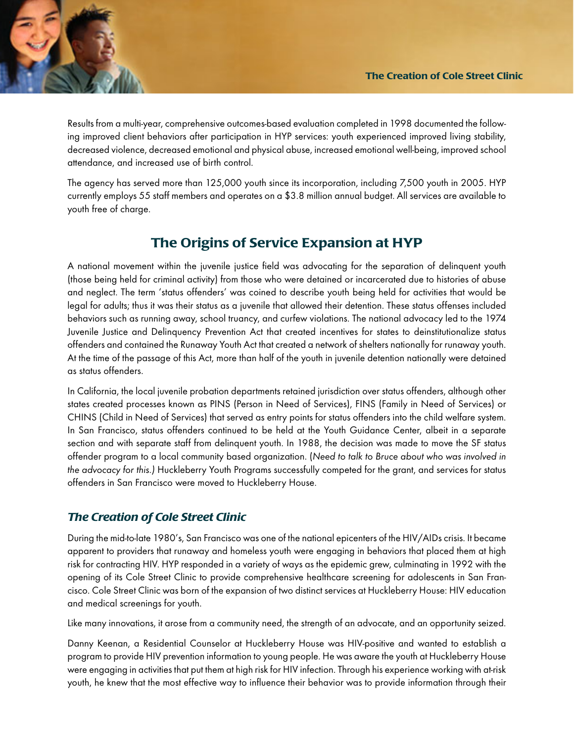

Results from a multi-year, comprehensive outcomes-based evaluation completed in 1998 documented the following improved client behaviors after participation in HYP services: youth experienced improved living stability, decreased violence, decreased emotional and physical abuse, increased emotional well-being, improved school attendance, and increased use of birth control.

The agency has served more than 125,000 youth since its incorporation, including 7,500 youth in 2005. HYP currently employs 55 staff members and operates on a \$3.8 million annual budget. All services are available to youth free of charge.

# **The Origins of Service Expansion at HYP**

A national movement within the juvenile justice field was advocating for the separation of delinquent youth (those being held for criminal activity) from those who were detained or incarcerated due to histories of abuse and neglect. The term 'status offenders' was coined to describe youth being held for activities that would be legal for adults; thus it was their status as a juvenile that allowed their detention. These status offenses included behaviors such as running away, school truancy, and curfew violations. The national advocacy led to the 1974 Juvenile Justice and Delinquency Prevention Act that created incentives for states to deinstitutionalize status offenders and contained the Runaway Youth Act that created a network of shelters nationally for runaway youth. At the time of the passage of this Act, more than half of the youth in juvenile detention nationally were detained as status offenders.

In California, the local juvenile probation departments retained jurisdiction over status offenders, although other states created processes known as PINS (Person in Need of Services), FINS (Family in Need of Services) or CHINS (Child in Need of Services) that served as entry points for status offenders into the child welfare system. In San Francisco, status offenders continued to be held at the Youth Guidance Center, albeit in a separate section and with separate staff from delinquent youth. In 1988, the decision was made to move the SF status offender program to a local community based organization. (Need to talk to Bruce about who was involved in the advocacy for this.) Huckleberry Youth Programs successfully competed for the grant, and services for status offenders in San Francisco were moved to Huckleberry House.

## *The Creation of Cole Street Clinic*

During the mid-to-late 1980's, San Francisco was one of the national epicenters of the HIV/AIDs crisis. It became apparent to providers that runaway and homeless youth were engaging in behaviors that placed them at high risk for contracting HIV. HYP responded in a variety of ways as the epidemic grew, culminating in 1992 with the opening of its Cole Street Clinic to provide comprehensive healthcare screening for adolescents in San Francisco. Cole Street Clinic was born of the expansion of two distinct services at Huckleberry House: HIV education and medical screenings for youth.

Like many innovations, it arose from a community need, the strength of an advocate, and an opportunity seized.

Danny Keenan, a Residential Counselor at Huckleberry House was HIV-positive and wanted to establish a program to provide HIV prevention information to young people. He was aware the youth at Huckleberry House were engaging in activities that put them at high risk for HIV infection. Through his experience working with at-risk youth, he knew that the most effective way to influence their behavior was to provide information through their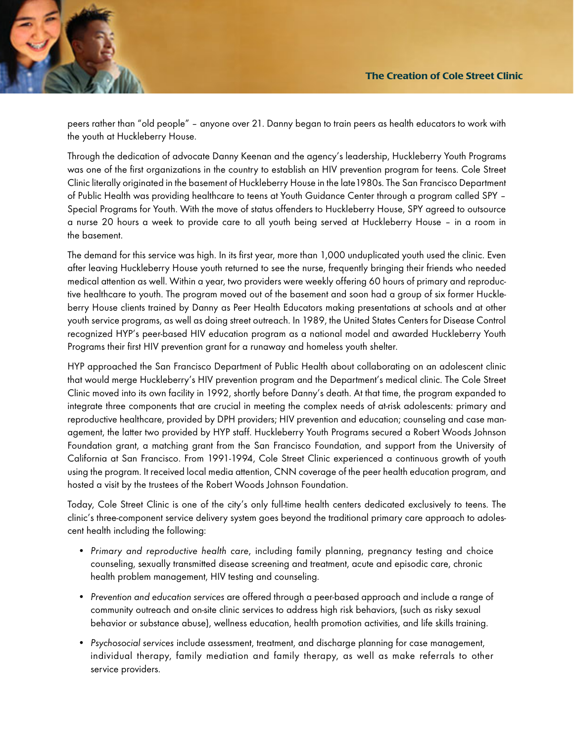peers rather than "old people" – anyone over 21. Danny began to train peers as health educators to work with the youth at Huckleberry House.

Through the dedication of advocate Danny Keenan and the agency's leadership, Huckleberry Youth Programs was one of the first organizations in the country to establish an HIV prevention program for teens. Cole Street Clinic literally originated in the basement of Huckleberry House in the late1980s. The San Francisco Department of Public Health was providing healthcare to teens at Youth Guidance Center through a program called SPY – Special Programs for Youth. With the move of status offenders to Huckleberry House, SPY agreed to outsource a nurse 20 hours a week to provide care to all youth being served at Huckleberry House – in a room in the basement.

The demand for this service was high. In its first year, more than 1,000 unduplicated youth used the clinic. Even after leaving Huckleberry House youth returned to see the nurse, frequently bringing their friends who needed medical attention as well. Within a year, two providers were weekly offering 60 hours of primary and reproductive healthcare to youth. The program moved out of the basement and soon had a group of six former Huckleberry House clients trained by Danny as Peer Health Educators making presentations at schools and at other youth service programs, as well as doing street outreach. In 1989, the United States Centers for Disease Control recognized HYP's peer-based HIV education program as a national model and awarded Huckleberry Youth Programs their first HIV prevention grant for a runaway and homeless youth shelter.

HYP approached the San Francisco Department of Public Health about collaborating on an adolescent clinic that would merge Huckleberry's HIV prevention program and the Department's medical clinic. The Cole Street Clinic moved into its own facility in 1992, shortly before Danny's death. At that time, the program expanded to integrate three components that are crucial in meeting the complex needs of at-risk adolescents: primary and reproductive healthcare, provided by DPH providers; HIV prevention and education; counseling and case management, the latter two provided by HYP staff. Huckleberry Youth Programs secured a Robert Woods Johnson Foundation grant, a matching grant from the San Francisco Foundation, and support from the University of California at San Francisco. From 1991-1994, Cole Street Clinic experienced a continuous growth of youth using the program. It received local media attention, CNN coverage of the peer health education program, and hosted a visit by the trustees of the Robert Woods Johnson Foundation.

Today, Cole Street Clinic is one of the city's only full-time health centers dedicated exclusively to teens. The clinic's three-component service delivery system goes beyond the traditional primary care approach to adolescent health including the following:

- Primary and reproductive health care, including family planning, pregnancy testing and choice counseling, sexually transmitted disease screening and treatment, acute and episodic care, chronic health problem management, HIV testing and counseling.
- Prevention and education services are offered through a peer-based approach and include a range of community outreach and on-site clinic services to address high risk behaviors, (such as risky sexual behavior or substance abuse), wellness education, health promotion activities, and life skills training.
- Psychosocial services include assessment, treatment, and discharge planning for case management, individual therapy, family mediation and family therapy, as well as make referrals to other service providers.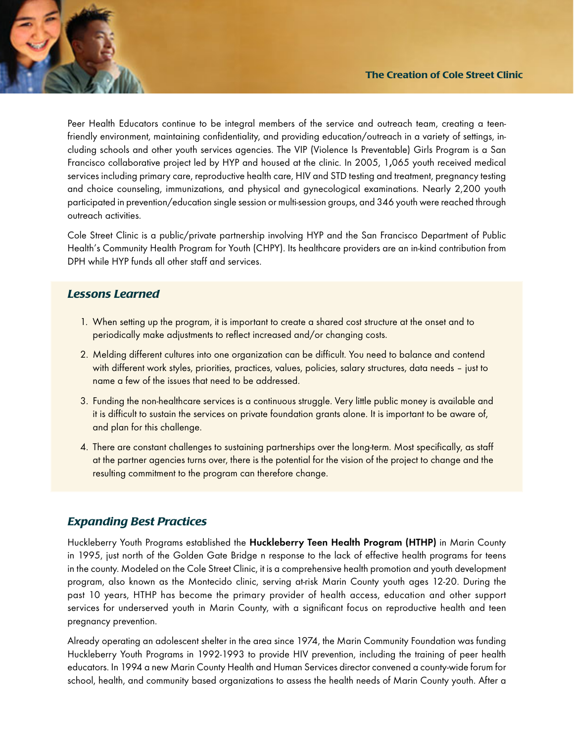Peer Health Educators continue to be integral members of the service and outreach team, creating a teenfriendly environment, maintaining confidentiality, and providing education/outreach in a variety of settings, including schools and other youth services agencies. The VIP (Violence Is Preventable) Girls Program is a San Francisco collaborative project led by HYP and housed at the clinic. In 2005, 1**,**065 youth received medical services including primary care, reproductive health care, HIV and STD testing and treatment, pregnancy testing and choice counseling, immunizations, and physical and gynecological examinations. Nearly 2,200 youth participated in prevention/education single session or multi-session groups, and 346 youth were reached through outreach activities.

Cole Street Clinic is a public/private partnership involving HYP and the San Francisco Department of Public Health's Community Health Program for Youth (CHPY). Its healthcare providers are an in-kind contribution from DPH while HYP funds all other staff and services.

#### *Lessons Learned*

- 1. When setting up the program, it is important to create a shared cost structure at the onset and to periodically make adjustments to reflect increased and/or changing costs.
- 2. Melding different cultures into one organization can be difficult. You need to balance and contend with different work styles, priorities, practices, values, policies, salary structures, data needs - just to name a few of the issues that need to be addressed.
- 3. Funding the non-healthcare services is a continuous struggle. Very little public money is available and it is difficult to sustain the services on private foundation grants alone. It is important to be aware of, and plan for this challenge.
- 4. There are constant challenges to sustaining partnerships over the long-term. Most specifically, as staff at the partner agencies turns over, there is the potential for the vision of the project to change and the resulting commitment to the program can therefore change.

#### *Expanding Best Practices*

Huckleberry Youth Programs established the **Huckleberry Teen Health Program (HTHP)** in Marin County in 1995, just north of the Golden Gate Bridge n response to the lack of effective health programs for teens in the county. Modeled on the Cole Street Clinic, it is a comprehensive health promotion and youth development program, also known as the Montecido clinic, serving at-risk Marin County youth ages 12-20. During the past 10 years, HTHP has become the primary provider of health access, education and other support services for underserved youth in Marin County, with a significant focus on reproductive health and teen pregnancy prevention.

Already operating an adolescent shelter in the area since 1974, the Marin Community Foundation was funding Huckleberry Youth Programs in 1992-1993 to provide HIV prevention, including the training of peer health educators. In 1994 a new Marin County Health and Human Services director convened a county-wide forum for school, health, and community based organizations to assess the health needs of Marin County youth. After a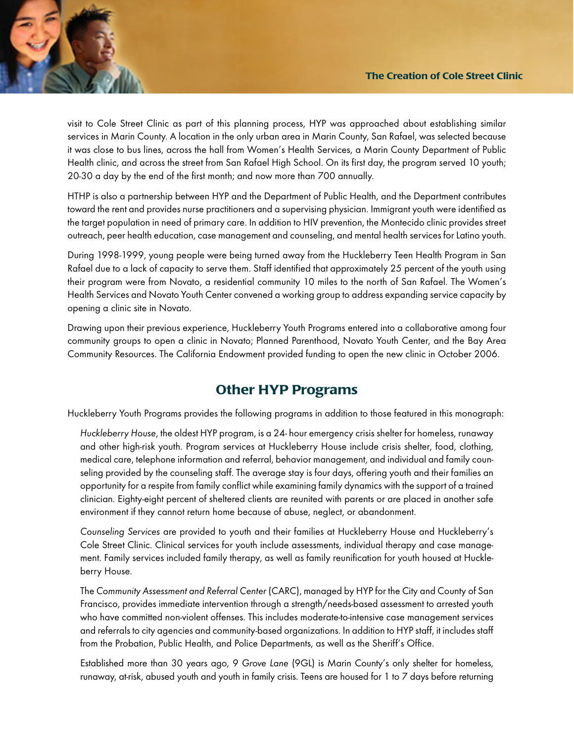

visit to Cole Street Clinic as part of this planning process, HYP was approached about establishing similar services in Marin County. A location in the only urban area in Marin County, San Rafael, was selected because it was close to bus lines, across the hall from Women's Health Services, a Marin County Department of Public Health clinic, and across the street from San Rafael High School. On its first day, the program served 10 youth; 20-30 a day by the end of the first month; and now more than 700 annually.

HTHP is also a partnership between HYP and the Department of Public Health, and the Department contributes toward the rent and provides nurse practitioners and a supervising physician. Immigrant youth were identified as the target population in need of primary care. In addition to HIV prevention, the Montecido clinic provides street outreach, peer health education, case management and counseling, and mental health services for Latino youth.

During 1998-1999, young people were being turned away from the Huckleberry Teen Health Program in San Rafael due to a lack of capacity to serve them. Staff identified that approximately 25 percent of the youth using their program were from Novato, a residential community 10 miles to the north of San Rafael. The Women's Health Services and Novato Youth Center convened a working group to address expanding service capacity by opening a clinic site in Novato.

Drawing upon their previous experience, Huckleberry Youth Programs entered into a collaborative among four community groups to open a clinic in Novato; Planned Parenthood, Novato Youth Center, and the Bay Area Community Resources. The California Endowment provided funding to open the new clinic in October 2006.

# **Other HYP Programs**

Huckleberry Youth Programs provides the following programs in addition to those featured in this monograph:

Huckleberry House, the oldest HYP program, is a 24- hour emergency crisis shelter for homeless, runaway and other high-risk youth. Program services at Huckleberry House include crisis shelter, food, clothing, medical care, telephone information and referral, behavior management, and individual and family counseling provided by the counseling staff. The average stay is four days, offering youth and their families an opportunity for a respite from family conflict while examining family dynamics with the support of a trained clinician. Eighty-eight percent of sheltered clients are reunited with parents or are placed in another safe environment if they cannot return home because of abuse, neglect, or abandonment.

Counseling Services are provided to youth and their families at Huckleberry House and Huckleberry's Cole Street Clinic. Clinical services for youth include assessments, individual therapy and case management. Family services included family therapy, as well as family reunification for youth housed at Huckleberry House.

The Community Assessment and Referral Center (CARC), managed by HYP for the City and County of San Francisco, provides immediate intervention through a strength/needs-based assessment to arrested youth who have committed non-violent offenses. This includes moderate-to-intensive case management services and referrals to city agencies and community-based organizations. In addition to HYP staff, it includes staff from the Probation, Public Health, and Police Departments, as well as the Sheriff's Office.

Established more than 30 years ago, 9 Grove Lane (9GL) is Marin County's only shelter for homeless, runaway, at-risk, abused youth and youth in family crisis. Teens are housed for 1 to 7 days before returning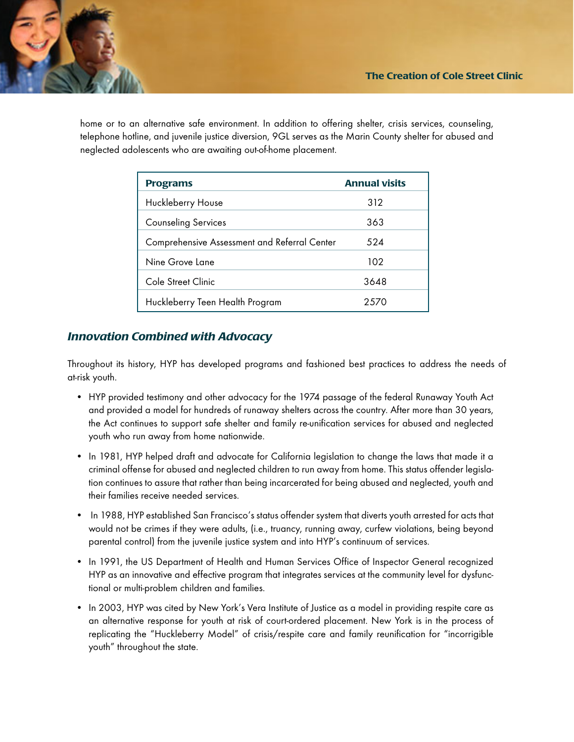

home or to an alternative safe environment. In addition to offering shelter, crisis services, counseling, telephone hotline, and juvenile justice diversion, 9GL serves as the Marin County shelter for abused and neglected adolescents who are awaiting out-of-home placement.

| <b>Programs</b>                              | <b>Annual visits</b> |
|----------------------------------------------|----------------------|
| Huckleberry House                            | 312                  |
| <b>Counseling Services</b>                   | 363                  |
| Comprehensive Assessment and Referral Center | 524                  |
| Nine Grove Lane                              | 102                  |
| Cole Street Clinic                           | 3648                 |
| Huckleberry Teen Health Program              | 2570                 |

## *Innovation Combined with Advocacy*

Throughout its history, HYP has developed programs and fashioned best practices to address the needs of at-risk youth.

- HYP provided testimony and other advocacy for the 1974 passage of the federal Runaway Youth Act and provided a model for hundreds of runaway shelters across the country. After more than 30 years, the Act continues to support safe shelter and family re-unification services for abused and neglected youth who run away from home nationwide.
- In 1981, HYP helped draft and advocate for California legislation to change the laws that made it a criminal offense for abused and neglected children to run away from home. This status offender legislation continues to assure that rather than being incarcerated for being abused and neglected, youth and their families receive needed services.
- In 1988, HYP established San Francisco's status offender system that diverts youth arrested for acts that would not be crimes if they were adults, (i.e., truancy, running away, curfew violations, being beyond parental control) from the juvenile justice system and into HYP's continuum of services.
- In 1991, the US Department of Health and Human Services Office of Inspector General recognized HYP as an innovative and effective program that integrates services at the community level for dysfunctional or multi-problem children and families.
- In 2003, HYP was cited by New York's Vera Institute of Justice as a model in providing respite care as an alternative response for youth at risk of court-ordered placement. New York is in the process of replicating the "Huckleberry Model" of crisis/respite care and family reunification for "incorrigible youth" throughout the state.